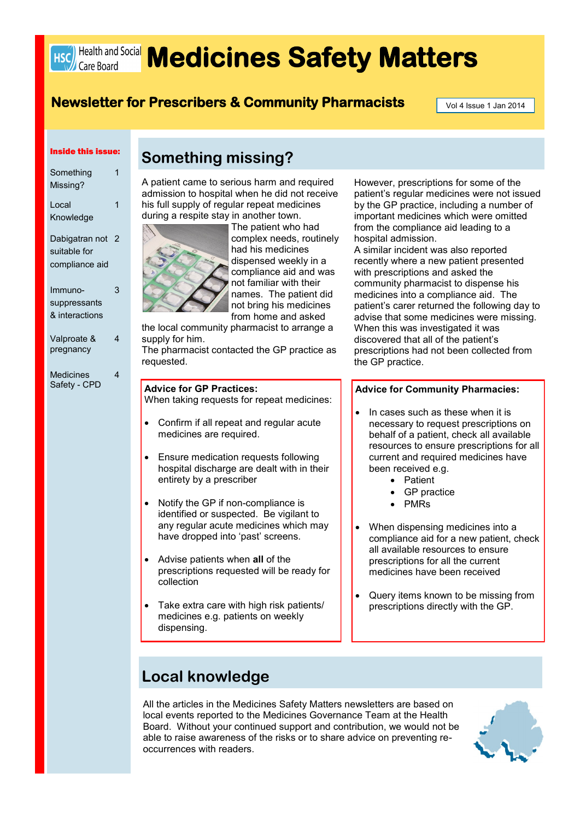

# **HSC) Health and Social Medicines Safety Matters**

### **Newsletter for Prescribers & Community Pharmacists Formally Application 1 Jan 2014**

A patient came to serious harm and required admission to hospital when he did not receive his full supply of regular repeat medicines

**Something missing?**

#### Inside this issue:

| Something<br>Missing? | 1 |
|-----------------------|---|
| Local                 | 1 |
| Knowledge             |   |
| Dabigatran not        | 2 |
| suitable for          |   |
| compliance aid        |   |
|                       |   |
| Immuno-               | 3 |
| suppressants          |   |
| & interactions        |   |
| Valproate &           | 4 |
| pregnancy             |   |
| <b>Medicines</b>      | 4 |
|                       |   |

Safety - CPD

during a respite stay in another town. The patient who had complex needs, routinely had his medicines dispensed weekly in a compliance aid and was not familiar with their names. The patient did not bring his medicines from home and asked

the local community pharmacist to arrange a supply for him. The pharmacist contacted the GP practice as

requested.

#### **Advice for GP Practices:**

When taking requests for repeat medicines:

- Confirm if all repeat and regular acute medicines are required.
- Ensure medication requests following hospital discharge are dealt with in their entirety by a prescriber
- Notify the GP if non-compliance is identified or suspected. Be vigilant to any regular acute medicines which may have dropped into 'past' screens.
- Advise patients when **all** of the prescriptions requested will be ready for collection
- Take extra care with high risk patients/ medicines e.g. patients on weekly dispensing.

However, prescriptions for some of the patient's regular medicines were not issued by the GP practice, including a number of important medicines which were omitted from the compliance aid leading to a hospital admission.

A similar incident was also reported recently where a new patient presented with prescriptions and asked the community pharmacist to dispense his medicines into a compliance aid. The patient's carer returned the following day to advise that some medicines were missing. When this was investigated it was discovered that all of the patient's prescriptions had not been collected from the GP practice.

#### **Advice for Community Pharmacies:**

- In cases such as these when it is necessary to request prescriptions on behalf of a patient, check all available resources to ensure prescriptions for all current and required medicines have been received e.g.
	- Patient
	- GP practice
	- PMRs
- When dispensing medicines into a compliance aid for a new patient, check all available resources to ensure prescriptions for all the current medicines have been received
- Query items known to be missing from prescriptions directly with the GP.

### **Local knowledge**

All the articles in the Medicines Safety Matters newsletters are based on local events reported to the Medicines Governance Team at the Health Board. Without your continued support and contribution, we would not be able to raise awareness of the risks or to share advice on preventing reoccurrences with readers.

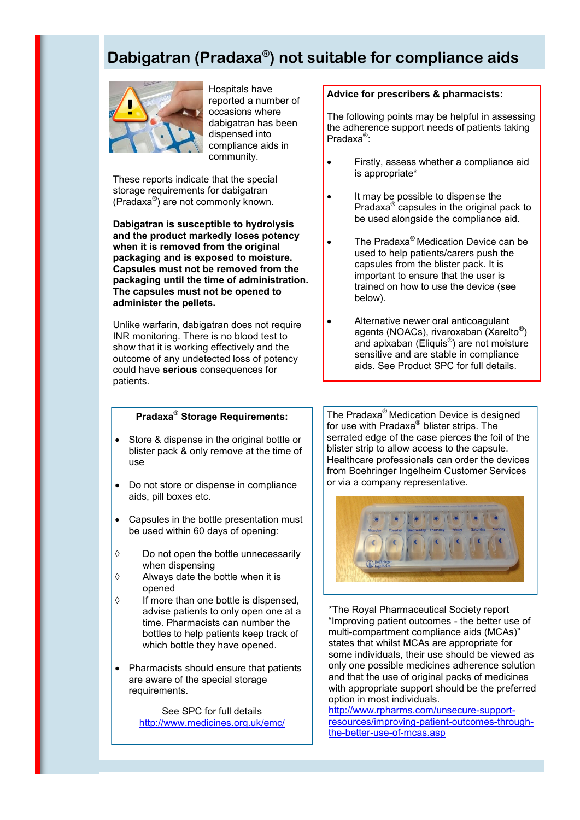### **Dabigatran (Pradaxa® ) not suitable for compliance aids**



Hospitals have reported a number of occasions where dabigatran has been dispensed into compliance aids in community.

These reports indicate that the special storage requirements for dabigatran (Pradaxa® ) are not commonly known.

**Dabigatran is susceptible to hydrolysis and the product markedly loses potency when it is removed from the original packaging and is exposed to moisture. Capsules must not be removed from the packaging until the time of administration. The capsules must not be opened to administer the pellets.**

Unlike warfarin, dabigatran does not require INR monitoring. There is no blood test to show that it is working effectively and the outcome of any undetected loss of potency could have **serious** consequences for patients.

### **Pradaxa® Storage Requirements:**

- Store & dispense in the original bottle or blister pack & only remove at the time of use
- Do not store or dispense in compliance aids, pill boxes etc.
- Capsules in the bottle presentation must be used within 60 days of opening:
- Do not open the bottle unnecessarily when dispensing
- $\Diamond$  Always date the bottle when it is opened
- $\Diamond$  If more than one bottle is dispensed, advise patients to only open one at a time. Pharmacists can number the bottles to help patients keep track of which bottle they have opened.
- Pharmacists should ensure that patients are aware of the special storage requirements.

See SPC for full details <http://www.medicines.org.uk/emc/>

### **Advice for prescribers & pharmacists:**

The following points may be helpful in assessing the adherence support needs of patients taking Pradaxa<sup>®</sup>:

- Firstly, assess whether a compliance aid is appropriate\*
- It may be possible to dispense the Pradaxa® capsules in the original pack to be used alongside the compliance aid.
- The Pradaxa® Medication Device can be used to help patients/carers push the capsules from the blister pack. It is important to ensure that the user is trained on how to use the device (see below).
- Alternative newer oral anticoagulant agents (NOACs), rivaroxaban (Xarelto<sup>®</sup>) and apixaban (Eliquis® ) are not moisture sensitive and are stable in compliance aids. See Product SPC for full details.

The Pradaxa® Medication Device is designed for use with Pradaxa® blister strips. The serrated edge of the case pierces the foil of the blister strip to allow access to the capsule. Healthcare professionals can order the devices from Boehringer Ingelheim Customer Services or via a company representative.



\*The Royal Pharmaceutical Society report "Improving patient outcomes - the better use of multi-compartment compliance aids (MCAs)" states that whilst MCAs are appropriate for some individuals, their use should be viewed as only one possible medicines adherence solution and that the use of original packs of medicines with appropriate support should be the preferred option in most individuals.

[ht](http://www.rpharms.com/unsecure-support-resources/improving-patient-outcomes-through-the-better-use-of-mcas.asp)tp://www.rpharms.com/unsecure-supportresources/improving-patient-outcomes-throughthe-better-use-of-mcas.asp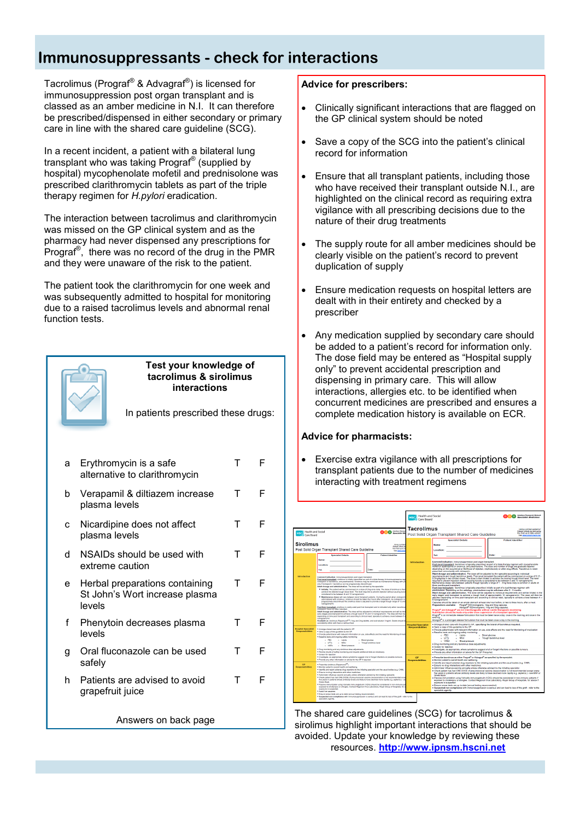### **Immunosuppressants - check for interactions**

Tacrolimus (Prograf® & Advagraf® ) is licensed for immunosuppression post organ transplant and is classed as an amber medicine in N.I. It can therefore be prescribed/dispensed in either secondary or primary care in line with the shared care guideline (SCG).

In a recent incident, a patient with a bilateral lung transplant who was taking Prograf® (supplied by hospital) mycophenolate mofetil and prednisolone was prescribed clarithromycin tablets as part of the triple therapy regimen for *H.pylori* eradication.

The interaction between tacrolimus and clarithromycin was missed on the GP clinical system and as the pharmacy had never dispensed any prescriptions for Prograf® , there was no record of the drug in the PMR and they were unaware of the risk to the patient.

The patient took the clarithromycin for one week and was subsequently admitted to hospital for monitoring due to a raised tacrolimus levels and abnormal renal function tests.



#### **Test your knowledge of tacrolimus & sirolimus interactions**

In patients prescribed these drugs:

| a | Erythromycin is a safe<br>alternative to clarithromycin                    | т | F |
|---|----------------------------------------------------------------------------|---|---|
| b | Verapamil & diltiazem increase<br>plasma levels                            | т | F |
| c | Nicardipine does not affect<br>plasma levels                               | т | F |
| d | NSAIDs should be used with<br>extreme caution                              | Т | F |
| e | Herbal preparations containing<br>St John's Wort increase plasma<br>levels | T | F |
| f | Phenytoin decreases plasma<br>levels                                       | т | F |
| g | Oral fluconazole can be used<br>safely                                     | т | F |
| h | Patients are advised to avoid<br>grapefruit juice                          | т | F |
|   |                                                                            |   |   |

### **Advice for prescribers:**

- Clinically significant interactions that are flagged on the GP clinical system should be noted
- Save a copy of the SCG into the patient's clinical record for information
- Ensure that all transplant patients, including those who have received their transplant outside N.I., are highlighted on the clinical record as requiring extra vigilance with all prescribing decisions due to the nature of their drug treatments
- The supply route for all amber medicines should be clearly visible on the patient's record to prevent duplication of supply
- Ensure medication requests on hospital letters are dealt with in their entirety and checked by a prescriber
- Any medication supplied by secondary care should be added to a patient's record for information only. The dose field may be entered as "Hospital supply only" to prevent accidental prescription and dispensing in primary care. This will allow interactions, allergies etc. to be identified when concurrent medicines are prescribed and ensures a complete medication history is available on ECR.

### **Advice for pharmacists:**

 Exercise extra vigilance with all prescriptions for transplant patients due to the number of medicines interacting with treatment regimens



Answers on back page The shared care guidelines (SCG) for tacrolimus & sirolimus highlight important interactions that should be avoided. Update your knowledge by reviewing these resources. **http://www.ipnsm.hscni.net**